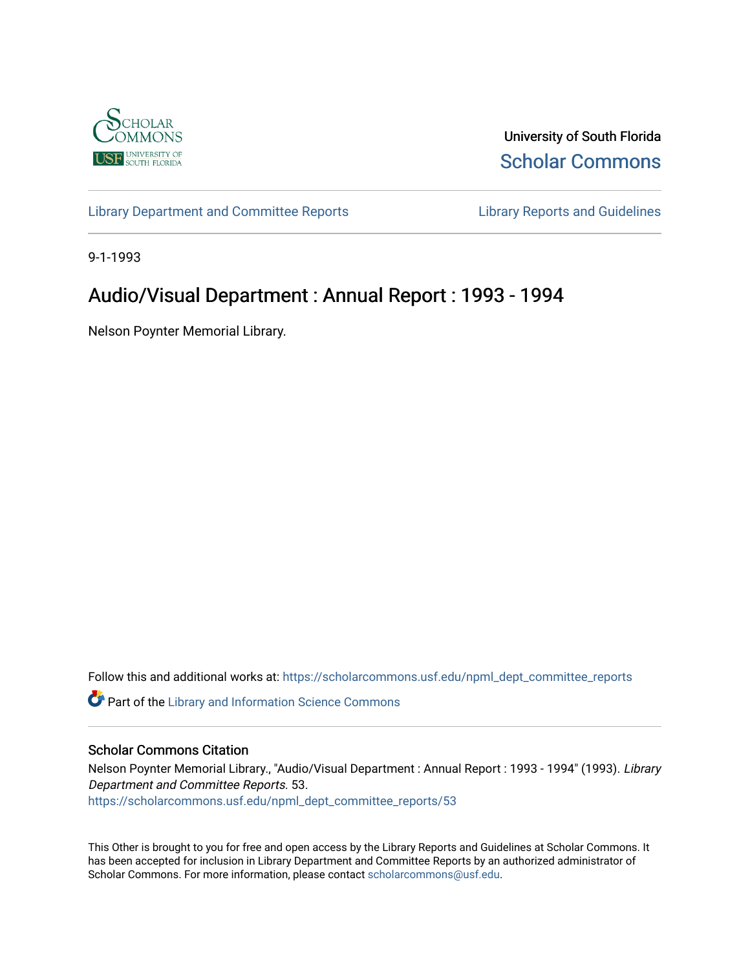

University of South Florida [Scholar Commons](https://scholarcommons.usf.edu/) 

[Library Department and Committee Reports](https://scholarcommons.usf.edu/npml_dept_committee_reports) [Library Reports and Guidelines](https://scholarcommons.usf.edu/npml_reports_guidelines_instruct_materials) 

9-1-1993

# Audio/Visual Department : Annual Report : 1993 - 1994

Nelson Poynter Memorial Library.

Follow this and additional works at: [https://scholarcommons.usf.edu/npml\\_dept\\_committee\\_reports](https://scholarcommons.usf.edu/npml_dept_committee_reports?utm_source=scholarcommons.usf.edu%2Fnpml_dept_committee_reports%2F53&utm_medium=PDF&utm_campaign=PDFCoverPages)

Part of the [Library and Information Science Commons](http://network.bepress.com/hgg/discipline/1018?utm_source=scholarcommons.usf.edu%2Fnpml_dept_committee_reports%2F53&utm_medium=PDF&utm_campaign=PDFCoverPages) 

#### Scholar Commons Citation

Nelson Poynter Memorial Library., "Audio/Visual Department : Annual Report : 1993 - 1994" (1993). Library Department and Committee Reports. 53. [https://scholarcommons.usf.edu/npml\\_dept\\_committee\\_reports/53](https://scholarcommons.usf.edu/npml_dept_committee_reports/53?utm_source=scholarcommons.usf.edu%2Fnpml_dept_committee_reports%2F53&utm_medium=PDF&utm_campaign=PDFCoverPages) 

This Other is brought to you for free and open access by the Library Reports and Guidelines at Scholar Commons. It has been accepted for inclusion in Library Department and Committee Reports by an authorized administrator of Scholar Commons. For more information, please contact [scholarcommons@usf.edu](mailto:scholarcommons@usf.edu).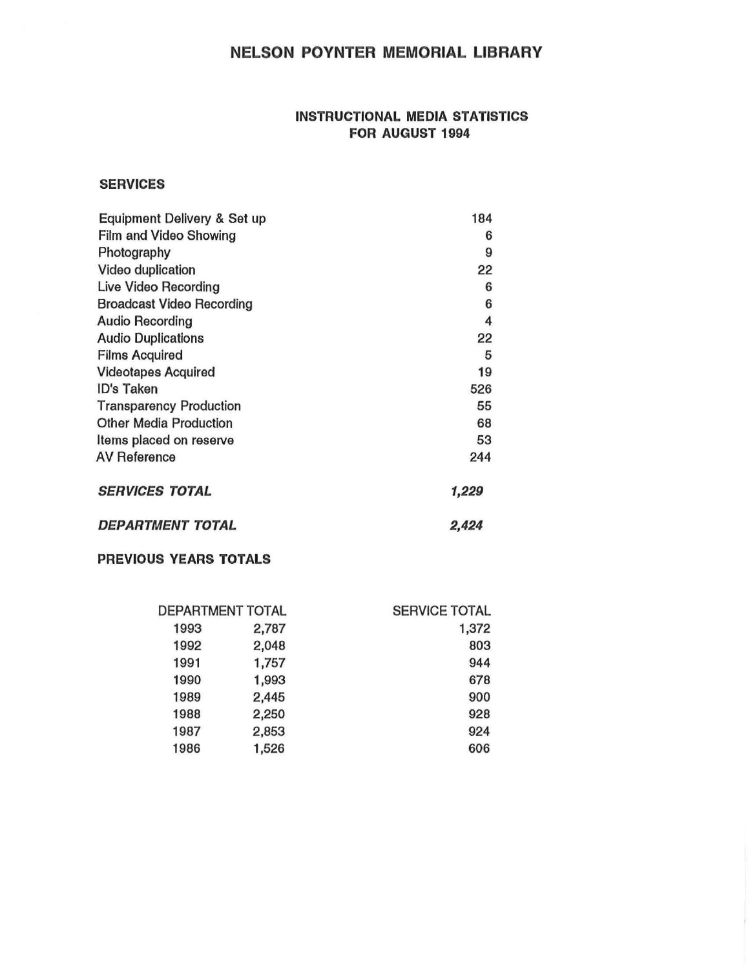# NELSON POYNTER MEMORIAL LIBRARY

### INSTRUCTIONAL MEDIA STATISTICS FOR AUGUST 1994

#### **SERVICES**

| <b>Equipment Delivery &amp; Set up</b> | 184   |
|----------------------------------------|-------|
| <b>Film and Video Showing</b>          | 6     |
| Photography                            | 9     |
| Video duplication                      | 22    |
| Live Video Recording                   | 6     |
| <b>Broadcast Video Recording</b>       | 6     |
| <b>Audio Recording</b>                 | 4     |
| <b>Audio Duplications</b>              | 22    |
| <b>Films Acquired</b>                  | 5     |
| <b>Videotapes Acquired</b>             | 19    |
| <b>ID's Taken</b>                      | 526   |
| <b>Transparency Production</b>         | 55    |
| <b>Other Media Production</b>          | 68    |
| Items placed on reserve                | 53    |
| <b>AV Reference</b>                    | 244   |
| <b>SERVICES TOTAL</b>                  | 1,229 |
| <b>DEPARTMENT TOTAL</b>                | 2,424 |

### PREVIOUS YEARS TOTALS

| DEPARTMENT TOTAL |       | <b>SERVICE TOTAL</b> |
|------------------|-------|----------------------|
| 1993             | 2,787 | 1,372                |
| 1992             | 2,048 | 803                  |
| 1991             | 1,757 | 944                  |
| 1990             | 1,993 | 678                  |
| 1989             | 2,445 | 900                  |
| 1988             | 2,250 | 928                  |
| 1987             | 2,853 | 924                  |
| 1986             | 1,526 | 606                  |
|                  |       |                      |